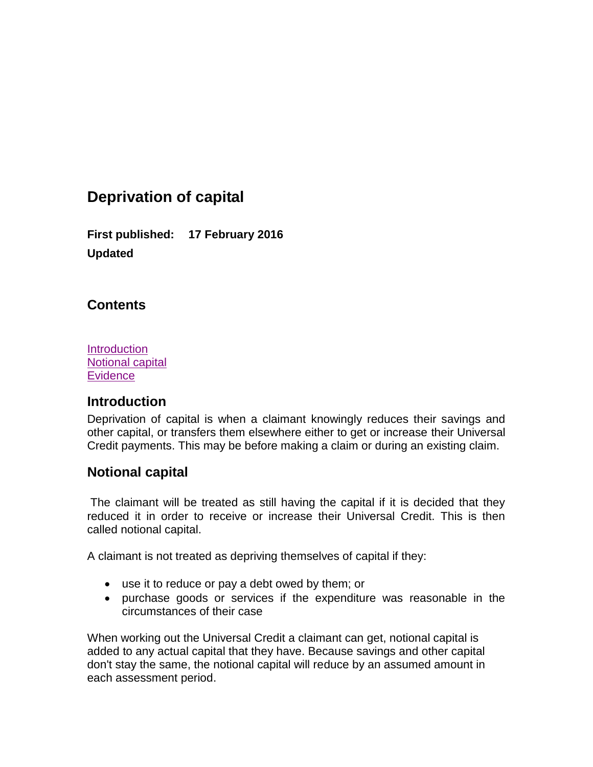# **Deprivation of capital**

**First published: 17 February 2016 Updated**

### <span id="page-0-2"></span>**Contents**

**[Introduction](#page-0-0)** [Notional capital](#page-0-1) **[Evidence](#page-1-0)** 

### <span id="page-0-0"></span>**Introduction**

Deprivation of capital is when a claimant knowingly reduces their savings and other capital, or transfers them elsewhere either to get or increase their Universal Credit payments. This may be before making a claim or during an existing claim.

### <span id="page-0-1"></span>**Notional capital**

The claimant will be treated as still having the capital if it is decided that they reduced it in order to receive or increase their Universal Credit. This is then called notional capital.

A claimant is not treated as depriving themselves of capital if they:

- use it to reduce or pay a debt owed by them; or
- purchase goods or services if the expenditure was reasonable in the circumstances of their case

When working out the Universal Credit a claimant can get, notional capital is added to any actual capital that they have. Because savings and other capital don't stay the same, the notional capital will reduce by an assumed amount in each assessment period.